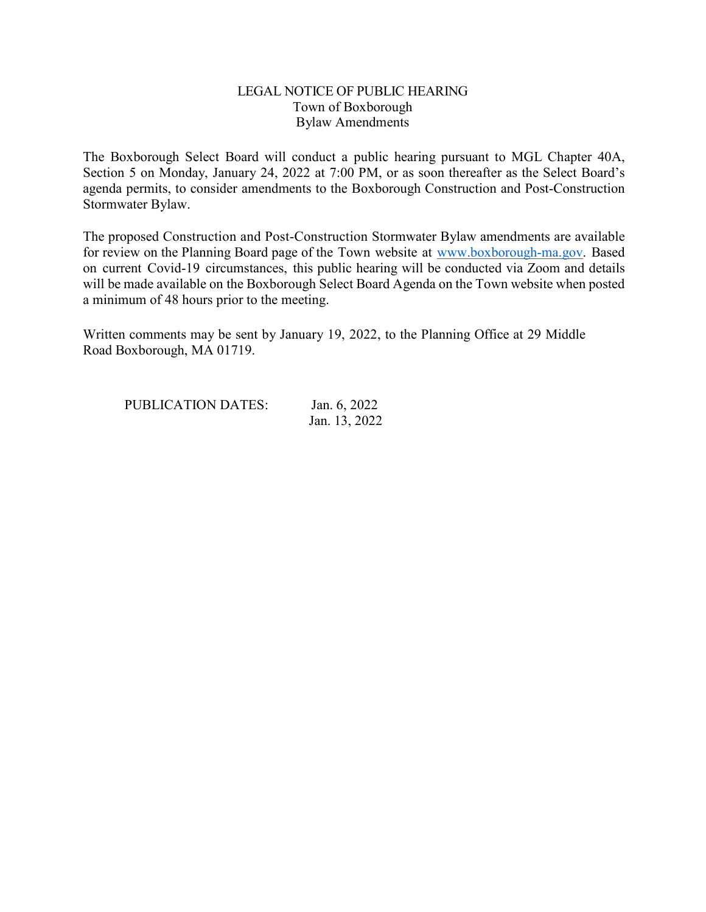## LEGAL NOTICE OF PUBLIC HEARING Town of Boxborough Bylaw Amendments

The Boxborough Select Board will conduct a public hearing pursuant to MGL Chapter 40A, Section 5 on Monday, January 24, 2022 at 7:00 PM, or as soon thereafter as the Select Board's agenda permits, to consider amendments to the Boxborough Construction and Post-Construction Stormwater Bylaw.

The proposed Construction and Post-Construction Stormwater Bylaw amendments are available for review on the Planning Board page of the Town website at www.boxborough-ma.gov. Based on current Covid-19 circumstances, this public hearing will be conducted via Zoom and details will be made available on the Boxborough Select Board Agenda on the Town website when posted a minimum of 48 hours prior to the meeting.

Written comments may be sent by January 19, 2022, to the Planning Office at 29 Middle Road Boxborough, MA 01719.

| <b>PUBLICATION DATES:</b> | Jan. 6, 2022  |
|---------------------------|---------------|
|                           | Jan. 13, 2022 |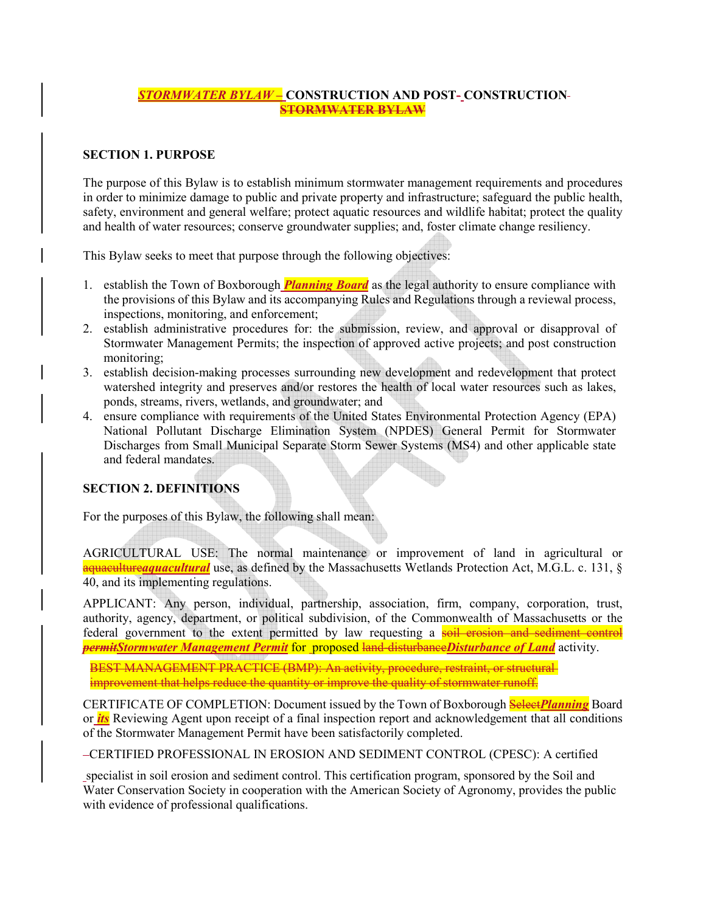### *STORMWATER BYLAW –* **CONSTRUCTION AND POST- CONSTRUCTION STORMWATER BYLAW**

### **SECTION 1. PURPOSE**

The purpose of this Bylaw is to establish minimum stormwater management requirements and procedures in order to minimize damage to public and private property and infrastructure; safeguard the public health, safety, environment and general welfare; protect aquatic resources and wildlife habitat; protect the quality and health of water resources; conserve groundwater supplies; and, foster climate change resiliency.

This Bylaw seeks to meet that purpose through the following objectives:

- 1. establish the Town of Boxborough *Planning Board* as the legal authority to ensure compliance with the provisions of this Bylaw and its accompanying Rules and Regulations through a reviewal process, inspections, monitoring, and enforcement;
- 2. establish administrative procedures for: the submission, review, and approval or disapproval of Stormwater Management Permits; the inspection of approved active projects; and post construction monitoring;
- 3. establish decision-making processes surrounding new development and redevelopment that protect watershed integrity and preserves and/or restores the health of local water resources such as lakes, ponds, streams, rivers, wetlands, and groundwater; and
- 4. ensure compliance with requirements of the United States Environmental Protection Agency (EPA) National Pollutant Discharge Elimination System (NPDES) General Permit for Stormwater Discharges from Small Municipal Separate Storm Sewer Systems (MS4) and other applicable state and federal mandates.

## **SECTION 2. DEFINITIONS**

For the purposes of this Bylaw, the following shall mean:

AGRICULTURAL USE: The normal maintenance or improvement of land in agricultural or aquaculture*aquacultural* use, as defined by the Massachusetts Wetlands Protection Act, M.G.L. c. 131, § 40, and its implementing regulations.

APPLICANT: Any person, individual, partnership, association, firm, company, corporation, trust, authority, agency, department, or political subdivision, of the Commonwealth of Massachusetts or the federal government to the extent permitted by law requesting a soil erosion and sediment control *permitStormwater Management Permit* for proposed land-disturbance *Disturbance of Land* activity.

BEST MANAGEMENT PRACTICE (BMP): An activity, procedure, restraint, or structural improvement that helps reduce the quantity or improve the quality of stormwater runoff.

CERTIFICATE OF COMPLETION: Document issued by the Town of Boxborough Select*Planning* Board or *its* Reviewing Agent upon receipt of a final inspection report and acknowledgement that all conditions of the Stormwater Management Permit have been satisfactorily completed.

CERTIFIED PROFESSIONAL IN EROSION AND SEDIMENT CONTROL (CPESC): A certified

specialist in soil erosion and sediment control. This certification program, sponsored by the Soil and Water Conservation Society in cooperation with the American Society of Agronomy, provides the public with evidence of professional qualifications.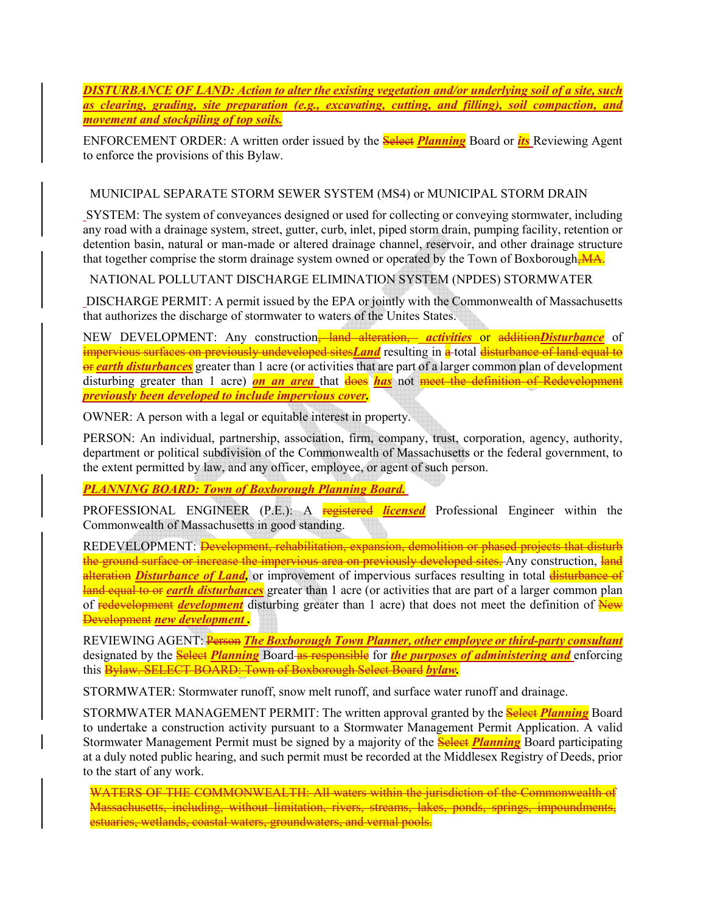*DISTURBANCE OF LAND: Action to alter the existing vegetation and/or underlying soil of a site, such as clearing, grading, site preparation (e.g., excavating, cutting, and filling), soil compaction, and movement and stockpiling of top soils.* 

ENFORCEMENT ORDER: A written order issued by the Select *Planning* Board or *its* Reviewing Agent to enforce the provisions of this Bylaw.

### MUNICIPAL SEPARATE STORM SEWER SYSTEM (MS4) or MUNICIPAL STORM DRAIN

SYSTEM: The system of conveyances designed or used for collecting or conveying stormwater, including any road with a drainage system, street, gutter, curb, inlet, piped storm drain, pumping facility, retention or detention basin, natural or man-made or altered drainage channel, reservoir, and other drainage structure that together comprise the storm drainage system owned or operated by the Town of Boxborough, MA.

### NATIONAL POLLUTANT DISCHARGE ELIMINATION SYSTEM (NPDES) STORMWATER

DISCHARGE PERMIT: A permit issued by the EPA or jointly with the Commonwealth of Massachusetts that authorizes the discharge of stormwater to waters of the Unites States.

NEW DEVELOPMENT: Any construction<sup>-</sup> land alteration, *activities* or addition*Disturbance* of impervious surfaces on previously undeveloped sites*Land* resulting in a total disturbance of land equal to or *earth disturbances* greater than 1 acre (or activities that are part of a larger common plan of development disturbing greater than 1 acre) *on an area* that does *has* not meet the definition of Redevelopment *previously been developed to include impervious cover.* 

OWNER: A person with a legal or equitable interest in property.

PERSON: An individual, partnership, association, firm, company, trust, corporation, agency, authority, department or political subdivision of the Commonwealth of Massachusetts or the federal government, to the extent permitted by law, and any officer, employee, or agent of such person.

## *PLANNING BOARD: Town of Boxborough Planning Board.*

PROFESSIONAL ENGINEER (P.E.): A registered *licensed* Professional Engineer within the Commonwealth of Massachusetts in good standing.

REDEVELOPMENT: *Development, rehabilitation, expansion, demolition or phased projects that disturb* the ground surface or increase the impervious area on previously developed sites. Any construction, land **alteration** *Disturbance of Land*, or improvement of impervious surfaces resulting in total **disturbance of** land equal to or *earth disturbances* greater than 1 acre (or activities that are part of a larger common plan of redevelopment *development* disturbing greater than 1 acre) that does not meet the definition of New Development *new development .* 

REVIEWING AGENT: Person *The Boxborough Town Planner, other employee or third-party consultant* designated by the Select *Planning* Board as responsible for *the purposes of administering and* enforcing this Bylaw. SELECT BOARD: Town of Boxborough Select Board *bylaw.*

STORMWATER: Stormwater runoff, snow melt runoff, and surface water runoff and drainage.

STORMWATER MANAGEMENT PERMIT: The written approval granted by the **Select** *Planning* Board to undertake a construction activity pursuant to a Stormwater Management Permit Application. A valid Stormwater Management Permit must be signed by a majority of the Select *Planning* Board participating at a duly noted public hearing, and such permit must be recorded at the Middlesex Registry of Deeds, prior to the start of any work.

WATERS OF THE COMMONWEALTH: All waters within the jurisdiction of the Commonwealth of Massachusetts, including, without limitation, rivers, streams, lakes, ponds, springs, impoundments, estuaries, wetlands, coastal waters, groundwaters, and vernal pools.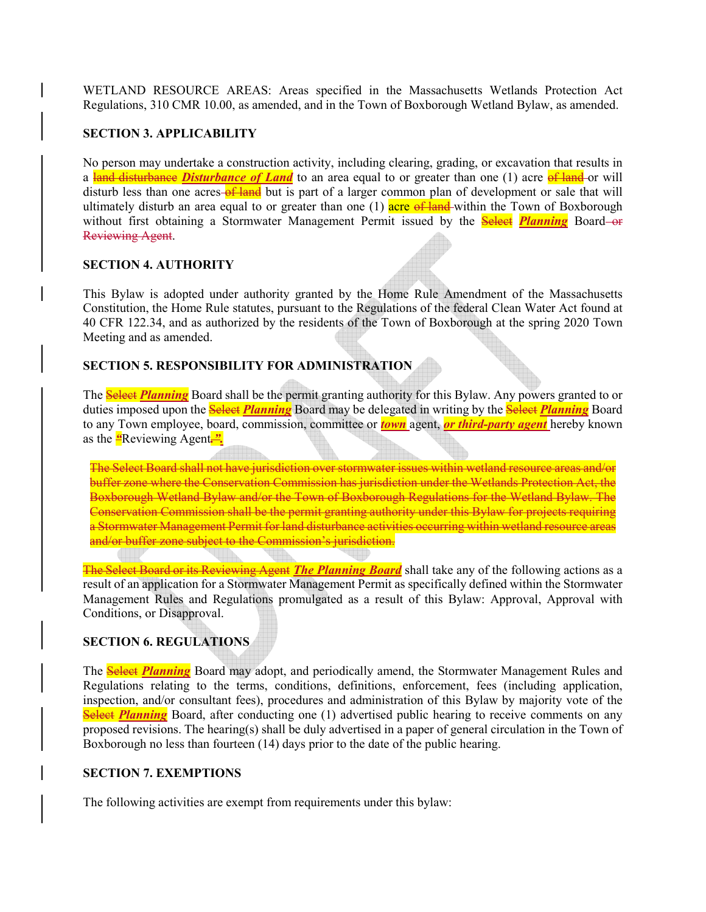WETLAND RESOURCE AREAS: Areas specified in the Massachusetts Wetlands Protection Act Regulations, 310 CMR 10.00, as amended, and in the Town of Boxborough Wetland Bylaw, as amended.

### **SECTION 3. APPLICABILITY**

No person may undertake a construction activity, including clearing, grading, or excavation that results in a land disturbance *Disturbance of Land* to an area equal to or greater than one (1) acre of land-or will disturb less than one acres-of land but is part of a larger common plan of development or sale that will ultimately disturb an area equal to or greater than one (1) acre of land within the Town of Boxborough without first obtaining a Stormwater Management Permit issued by the **Select Planning** Board-or Reviewing Agent.

#### **SECTION 4. AUTHORITY**

This Bylaw is adopted under authority granted by the Home Rule Amendment of the Massachusetts Constitution, the Home Rule statutes, pursuant to the Regulations of the federal Clean Water Act found at 40 CFR 122.34, and as authorized by the residents of the Town of Boxborough at the spring 2020 Town Meeting and as amended.

### **SECTION 5. RESPONSIBILITY FOR ADMINISTRATION**

The Select *Planning* Board shall be the permit granting authority for this Bylaw. Any powers granted to or duties imposed upon the Select *Planning* Board may be delegated in writing by the Select *Planning* Board to any Town employee, board, commission, committee or *town* agent, *or third-party agent* hereby known as the *"*Reviewing Agent*.".*

The Select Board shall not have jurisdiction over stormwater issues within wetland resource areas and/or buffer zone where the Conservation Commission has jurisdiction under the Wetlands Protection Act, the Boxborough Wetland Bylaw and/or the Town of Boxborough Regulations for the Wetland Bylaw. The Conservation Commission shall be the permit granting authority under this Bylaw for projects requiring a Stormwater Management Permit for land disturbance activities occurring within wetland resource areas and/or buffer zone subject to the Commission's jurisdiction.

The Select Board or its Reviewing Agent *The Planning Board* shall take any of the following actions as a result of an application for a Stormwater Management Permit as specifically defined within the Stormwater Management Rules and Regulations promulgated as a result of this Bylaw: Approval, Approval with Conditions, or Disapproval.

## **SECTION 6. REGULATIONS**

The **Select Planning** Board may adopt, and periodically amend, the Stormwater Management Rules and Regulations relating to the terms, conditions, definitions, enforcement, fees (including application, inspection, and/or consultant fees), procedures and administration of this Bylaw by majority vote of the **Select** *Planning* Board, after conducting one (1) advertised public hearing to receive comments on any proposed revisions. The hearing(s) shall be duly advertised in a paper of general circulation in the Town of Boxborough no less than fourteen (14) days prior to the date of the public hearing.

### **SECTION 7. EXEMPTIONS**

The following activities are exempt from requirements under this bylaw: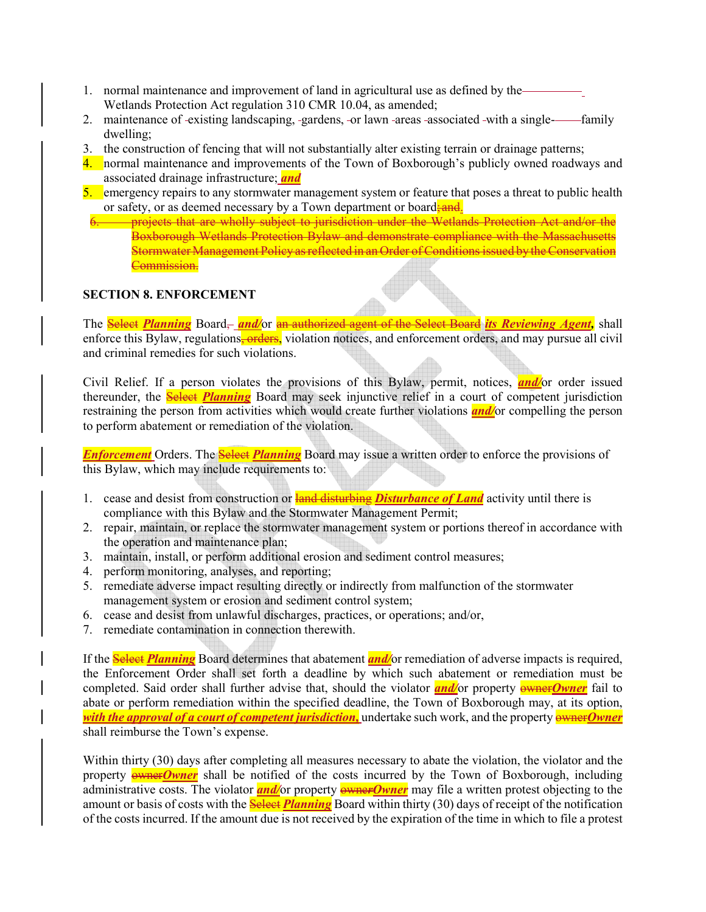- 1. normal maintenance and improvement of land in agricultural use as defined by the Wetlands Protection Act regulation 310 CMR 10.04, as amended;
- 2. maintenance of -existing landscaping, -gardens, -or lawn -areas -associated -with a single---------------dwelling;
- 3. the construction of fencing that will not substantially alter existing terrain or drainage patterns;
- 4. normal maintenance and improvements of the Town of Boxborough's publicly owned roadways and associated drainage infrastructure; *and*
- 5. emergency repairs to any stormwater management system or feature that poses a threat to public health or safety, or as deemed necessary by a Town department or board; and.
	- 6. projects that are wholly subject to jurisdiction under the Wetlands Protection Act and/or the Boxborough Wetlands Protection Bylaw and demonstrate compliance with the Massachusetts Stormwater Management Policy as reflected in an Order of Conditions issued by the Conservation Commission.

### **SECTION 8. ENFORCEMENT**

The Select *Planning* Board, *and/*or an authorized agent of the Select Board *its Reviewing Agent,* shall enforce this Bylaw, regulations, orders, violation notices, and enforcement orders, and may pursue all civil and criminal remedies for such violations.

Civil Relief. If a person violates the provisions of this Bylaw, permit, notices, *and/*or order issued thereunder, the Select *Planning* Board may seek injunctive relief in a court of competent jurisdiction restraining the person from activities which would create further violations *and/*or compelling the person to perform abatement or remediation of the violation.

*Enforcement* Orders. The **Select** *Planning* Board may issue a written order to enforce the provisions of this Bylaw, which may include requirements to:

- 1. cease and desist from construction or land disturbing *Disturbance of Land* activity until there is compliance with this Bylaw and the Stormwater Management Permit;
- 2. repair, maintain, or replace the stormwater management system or portions thereof in accordance with the operation and maintenance plan;
- 3. maintain, install, or perform additional erosion and sediment control measures;
- 4. perform monitoring, analyses, and reporting;
- 5. remediate adverse impact resulting directly or indirectly from malfunction of the stormwater management system or erosion and sediment control system;
- 6. cease and desist from unlawful discharges, practices, or operations; and/or,
- 7. remediate contamination in connection therewith.

If the Select *Planning* Board determines that abatement *and/*or remediation of adverse impacts is required, the Enforcement Order shall set forth a deadline by which such abatement or remediation must be completed. Said order shall further advise that, should the violator **and**/or property *exist Owner* fail to abate or perform remediation within the specified deadline, the Town of Boxborough may, at its option, *with the approval of a court of competent jurisdiction*, undertake such work, and the property *ewnerOwner* shall reimburse the Town's expense.

Within thirty (30) days after completing all measures necessary to abate the violation, the violator and the property **owner** owner shall be notified of the costs incurred by the Town of Boxborough, including administrative costs. The violator **and/**or property **owner Owner** may file a written protest objecting to the amount or basis of costs with the **Select** *Planning* Board within thirty (30) days of receipt of the notification of the costs incurred. If the amount due is not received by the expiration of the time in which to file a protest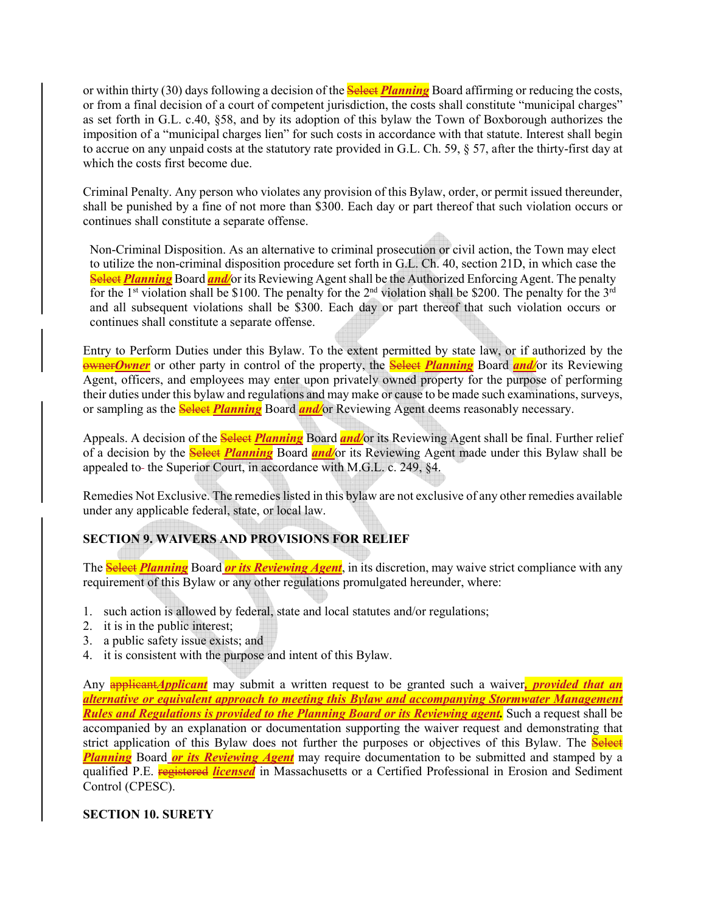or within thirty (30) days following a decision of the **Select** *Planning* Board affirming or reducing the costs, or from a final decision of a court of competent jurisdiction, the costs shall constitute "municipal charges" as set forth in G.L. c.40, §58, and by its adoption of this bylaw the Town of Boxborough authorizes the imposition of a "municipal charges lien" for such costs in accordance with that statute. Interest shall begin to accrue on any unpaid costs at the statutory rate provided in G.L. Ch. 59, § 57, after the thirty-first day at which the costs first become due.

Criminal Penalty. Any person who violates any provision of this Bylaw, order, or permit issued thereunder, shall be punished by a fine of not more than \$300. Each day or part thereof that such violation occurs or continues shall constitute a separate offense.

Non-Criminal Disposition. As an alternative to criminal prosecution or civil action, the Town may elect to utilize the non-criminal disposition procedure set forth in G.L. Ch. 40, section 21D, in which case the **Select Planning** Board **and/**or its Reviewing Agent shall be the Authorized Enforcing Agent. The penalty for the 1<sup>st</sup> violation shall be \$100. The penalty for the 2<sup>nd</sup> violation shall be \$200. The penalty for the 3<sup>rd</sup> and all subsequent violations shall be \$300. Each day or part thereof that such violation occurs or continues shall constitute a separate offense.

Entry to Perform Duties under this Bylaw. To the extent permitted by state law, or if authorized by the owner*Owner* or other party in control of the property, the Select *Planning* Board *and/*or its Reviewing Agent, officers, and employees may enter upon privately owned property for the purpose of performing their duties under this bylaw and regulations and may make or cause to be made such examinations, surveys, or sampling as the Select *Planning* Board *and/*or Reviewing Agent deems reasonably necessary.

Appeals. A decision of the **Select** *Planning* Board *and/*or its Reviewing Agent shall be final. Further relief of a decision by the Select *Planning* Board *and/*or its Reviewing Agent made under this Bylaw shall be appealed to- the Superior Court, in accordance with M.G.L. c. 249, §4.

Remedies Not Exclusive. The remedies listed in this bylaw are not exclusive of any other remedies available under any applicable federal, state, or local law.

# **SECTION 9. WAIVERS AND PROVISIONS FOR RELIEF**

The Select *Planning* Board *or its Reviewing Agent*, in its discretion, may waive strict compliance with any requirement of this Bylaw or any other regulations promulgated hereunder, where:

- 1. such action is allowed by federal, state and local statutes and/or regulations;
- 2. it is in the public interest;
- 3. a public safety issue exists; and
- 4. it is consistent with the purpose and intent of this Bylaw.

Any applicant*Applicant* may submit a written request to be granted such a waiver*, provided that an alternative or equivalent approach to meeting this Bylaw and accompanying Stormwater Management Rules and Regulations is provided to the Planning Board or its Reviewing agent*. Such a request shall be accompanied by an explanation or documentation supporting the waiver request and demonstrating that strict application of this Bylaw does not further the purposes or objectives of this Bylaw. The **Select** *Planning* Board *or its Reviewing Agent* may require documentation to be submitted and stamped by a qualified P.E. registered *licensed* in Massachusetts or a Certified Professional in Erosion and Sediment Control (CPESC).

## **SECTION 10. SURETY**